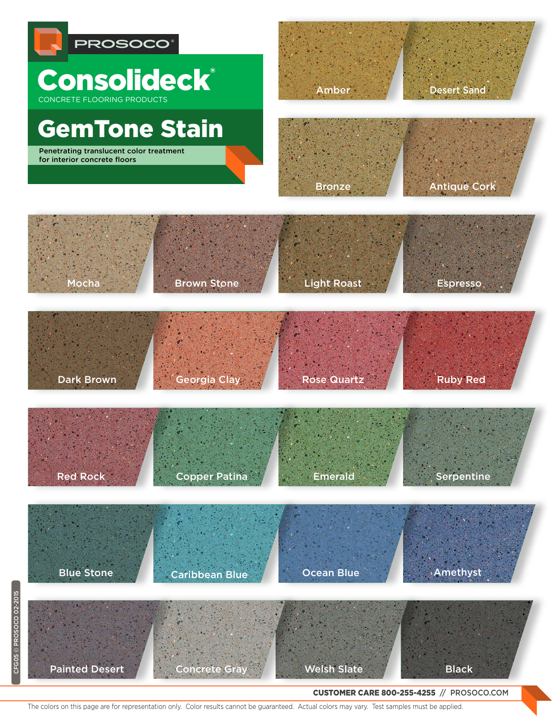



GemTone Stain

800 255 4255 PROSOCO.COM

Penetrating translucent color treatment r enetrating translatent color treating<br>for interior concrete floors

CFG05 © PROSOCO 02-2015

CFG05 © PROSOCO 02-2015

Desert Sand Amber



Antique Cork